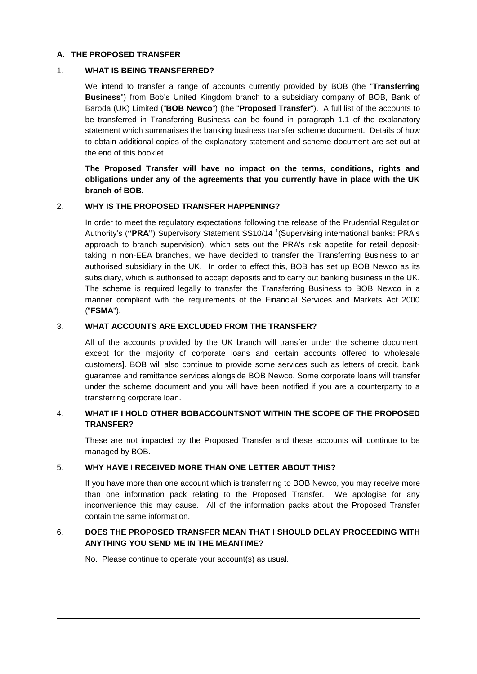### **A. THE PROPOSED TRANSFER**

### 1. **WHAT IS BEING TRANSFERRED?**

We intend to transfer a range of accounts currently provided by BOB (the "**Transferring Business**") from Bob's United Kingdom branch to a subsidiary company of BOB, Bank of Baroda (UK) Limited ("**BOB Newco**") (the "**Proposed Transfer**"). A full list of the accounts to be transferred in Transferring Business can be found in paragraph 1.1 of the explanatory statement which summarises the banking business transfer scheme document. Details of how to obtain additional copies of the explanatory statement and scheme document are set out at the end of this booklet.

**The Proposed Transfer will have no impact on the terms, conditions, rights and obligations under any of the agreements that you currently have in place with the UK branch of BOB.**

# 2. **WHY IS THE PROPOSED TRANSFER HAPPENING?**

In order to meet the regulatory expectations following the release of the Prudential Regulation Authority's ("PRA") Supervisory Statement SS10/14<sup>1</sup> (Supervising international banks: PRA's approach to branch supervision), which sets out the PRA's risk appetite for retail deposittaking in non-EEA branches, we have decided to transfer the Transferring Business to an authorised subsidiary in the UK. In order to effect this, BOB has set up BOB Newco as its subsidiary, which is authorised to accept deposits and to carry out banking business in the UK. The scheme is required legally to transfer the Transferring Business to BOB Newco in a manner compliant with the requirements of the Financial Services and Markets Act 2000 ("**FSMA**").

# 3. **WHAT ACCOUNTS ARE EXCLUDED FROM THE TRANSFER?**

All of the accounts provided by the UK branch will transfer under the scheme document, except for the majority of corporate loans and certain accounts offered to wholesale customers]. BOB will also continue to provide some services such as letters of credit, bank guarantee and remittance services alongside BOB Newco. Some corporate loans will transfer under the scheme document and you will have been notified if you are a counterparty to a transferring corporate loan.

### 4. **WHAT IF I HOLD OTHER BOBACCOUNTSNOT WITHIN THE SCOPE OF THE PROPOSED TRANSFER?**

These are not impacted by the Proposed Transfer and these accounts will continue to be managed by BOB.

### 5. **WHY HAVE I RECEIVED MORE THAN ONE LETTER ABOUT THIS?**

If you have more than one account which is transferring to BOB Newco, you may receive more than one information pack relating to the Proposed Transfer. We apologise for any inconvenience this may cause. All of the information packs about the Proposed Transfer contain the same information.

# 6. **DOES THE PROPOSED TRANSFER MEAN THAT I SHOULD DELAY PROCEEDING WITH ANYTHING YOU SEND ME IN THE MEANTIME?**

No. Please continue to operate your account(s) as usual.

 $\overline{a}$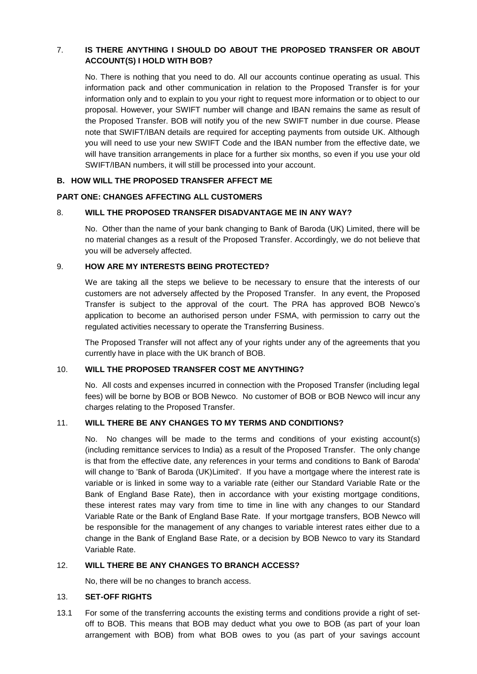# 7. **IS THERE ANYTHING I SHOULD DO ABOUT THE PROPOSED TRANSFER OR ABOUT ACCOUNT(S) I HOLD WITH BOB?**

No. There is nothing that you need to do. All our accounts continue operating as usual. This information pack and other communication in relation to the Proposed Transfer is for your information only and to explain to you your right to request more information or to object to our proposal. However, your SWIFT number will change and IBAN remains the same as result of the Proposed Transfer. BOB will notify you of the new SWIFT number in due course. Please note that SWIFT/IBAN details are required for accepting payments from outside UK. Although you will need to use your new SWIFT Code and the IBAN number from the effective date, we will have transition arrangements in place for a further six months, so even if you use your old SWIFT/IBAN numbers, it will still be processed into your account.

# **B. HOW WILL THE PROPOSED TRANSFER AFFECT ME**

# **PART ONE: CHANGES AFFECTING ALL CUSTOMERS**

# 8. **WILL THE PROPOSED TRANSFER DISADVANTAGE ME IN ANY WAY?**

No. Other than the name of your bank changing to Bank of Baroda (UK) Limited, there will be no material changes as a result of the Proposed Transfer. Accordingly, we do not believe that you will be adversely affected.

# 9. **HOW ARE MY INTERESTS BEING PROTECTED?**

We are taking all the steps we believe to be necessary to ensure that the interests of our customers are not adversely affected by the Proposed Transfer. In any event, the Proposed Transfer is subject to the approval of the court. The PRA has approved BOB Newco's application to become an authorised person under FSMA, with permission to carry out the regulated activities necessary to operate the Transferring Business.

The Proposed Transfer will not affect any of your rights under any of the agreements that you currently have in place with the UK branch of BOB.

### 10. **WILL THE PROPOSED TRANSFER COST ME ANYTHING?**

No. All costs and expenses incurred in connection with the Proposed Transfer (including legal fees) will be borne by BOB or BOB Newco. No customer of BOB or BOB Newco will incur any charges relating to the Proposed Transfer.

# 11. **WILL THERE BE ANY CHANGES TO MY TERMS AND CONDITIONS?**

No. No changes will be made to the terms and conditions of your existing account(s) (including remittance services to India) as a result of the Proposed Transfer. The only change is that from the effective date, any references in your terms and conditions to Bank of Baroda' will change to 'Bank of Baroda (UK)Limited'. If you have a mortgage where the interest rate is variable or is linked in some way to a variable rate (either our Standard Variable Rate or the Bank of England Base Rate), then in accordance with your existing mortgage conditions, these interest rates may vary from time to time in line with any changes to our Standard Variable Rate or the Bank of England Base Rate. If your mortgage transfers, BOB Newco will be responsible for the management of any changes to variable interest rates either due to a change in the Bank of England Base Rate, or a decision by BOB Newco to vary its Standard Variable Rate.

## 12. **WILL THERE BE ANY CHANGES TO BRANCH ACCESS?**

No, there will be no changes to branch access.

### 13. **SET-OFF RIGHTS**

13.1 For some of the transferring accounts the existing terms and conditions provide a right of setoff to BOB. This means that BOB may deduct what you owe to BOB (as part of your loan arrangement with BOB) from what BOB owes to you (as part of your savings account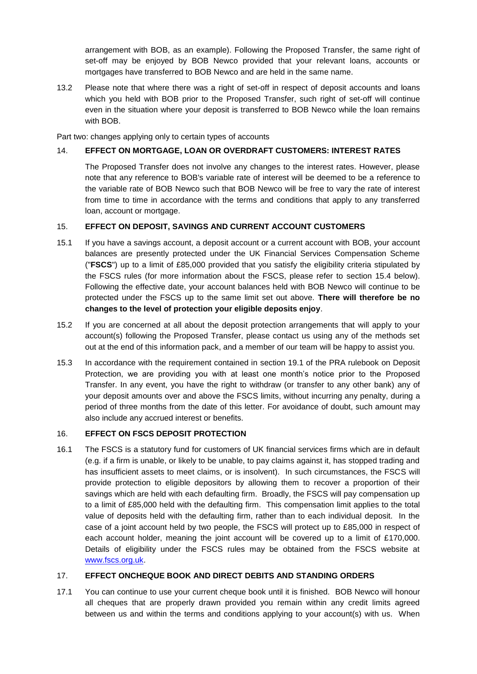arrangement with BOB, as an example). Following the Proposed Transfer, the same right of set-off may be enjoyed by BOB Newco provided that your relevant loans, accounts or mortgages have transferred to BOB Newco and are held in the same name.

13.2 Please note that where there was a right of set-off in respect of deposit accounts and loans which you held with BOB prior to the Proposed Transfer, such right of set-off will continue even in the situation where your deposit is transferred to BOB Newco while the loan remains with BOB.

Part two: changes applying only to certain types of accounts

# 14. **EFFECT ON MORTGAGE, LOAN OR OVERDRAFT CUSTOMERS: INTEREST RATES**

The Proposed Transfer does not involve any changes to the interest rates. However, please note that any reference to BOB's variable rate of interest will be deemed to be a reference to the variable rate of BOB Newco such that BOB Newco will be free to vary the rate of interest from time to time in accordance with the terms and conditions that apply to any transferred loan, account or mortgage.

# 15. **EFFECT ON DEPOSIT, SAVINGS AND CURRENT ACCOUNT CUSTOMERS**

- 15.1 If you have a savings account, a deposit account or a current account with BOB, your account balances are presently protected under the UK Financial Services Compensation Scheme ("**FSCS**") up to a limit of £85,000 provided that you satisfy the eligibility criteria stipulated by the FSCS rules (for more information about the FSCS, please refer to section 15.4 below). Following the effective date, your account balances held with BOB Newco will continue to be protected under the FSCS up to the same limit set out above. **There will therefore be no changes to the level of protection your eligible deposits enjoy**.
- 15.2 If you are concerned at all about the deposit protection arrangements that will apply to your account(s) following the Proposed Transfer, please contact us using any of the methods set out at the end of this information pack, and a member of our team will be happy to assist you.
- 15.3 In accordance with the requirement contained in section 19.1 of the PRA rulebook on Deposit Protection, we are providing you with at least one month's notice prior to the Proposed Transfer. In any event, you have the right to withdraw (or transfer to any other bank) any of your deposit amounts over and above the FSCS limits, without incurring any penalty, during a period of three months from the date of this letter. For avoidance of doubt, such amount may also include any accrued interest or benefits.

### 16. **EFFECT ON FSCS DEPOSIT PROTECTION**

16.1 The FSCS is a statutory fund for customers of UK financial services firms which are in default (e.g. if a firm is unable, or likely to be unable, to pay claims against it, has stopped trading and has insufficient assets to meet claims, or is insolvent). In such circumstances, the FSCS will provide protection to eligible depositors by allowing them to recover a proportion of their savings which are held with each defaulting firm. Broadly, the FSCS will pay compensation up to a limit of £85,000 held with the defaulting firm. This compensation limit applies to the total value of deposits held with the defaulting firm, rather than to each individual deposit. In the case of a joint account held by two people, the FSCS will protect up to £85,000 in respect of each account holder, meaning the joint account will be covered up to a limit of £170,000. Details of eligibility under the FSCS rules may be obtained from the FSCS website at [www.fscs.org.uk.](http://www.fscs.org.uk/)

### 17. **EFFECT ONCHEQUE BOOK AND DIRECT DEBITS AND STANDING ORDERS**

17.1 You can continue to use your current cheque book until it is finished. BOB Newco will honour all cheques that are properly drawn provided you remain within any credit limits agreed between us and within the terms and conditions applying to your account(s) with us. When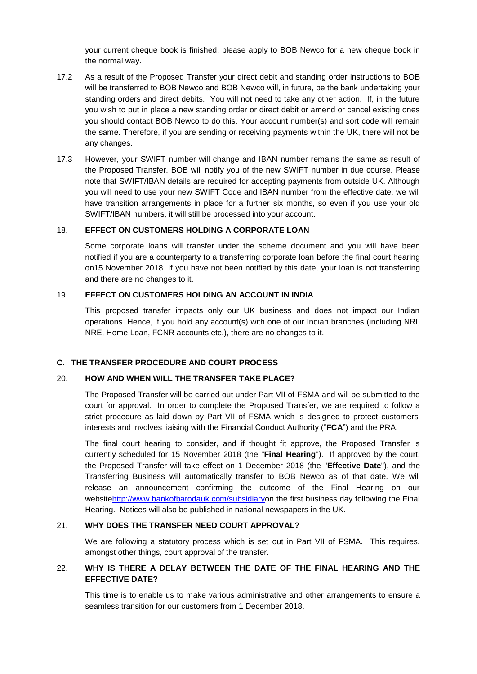your current cheque book is finished, please apply to BOB Newco for a new cheque book in the normal way.

- 17.2 As a result of the Proposed Transfer your direct debit and standing order instructions to BOB will be transferred to BOB Newco and BOB Newco will, in future, be the bank undertaking your standing orders and direct debits. You will not need to take any other action. If, in the future you wish to put in place a new standing order or direct debit or amend or cancel existing ones you should contact BOB Newco to do this. Your account number(s) and sort code will remain the same. Therefore, if you are sending or receiving payments within the UK, there will not be any changes.
- 17.3 However, your SWIFT number will change and IBAN number remains the same as result of the Proposed Transfer. BOB will notify you of the new SWIFT number in due course. Please note that SWIFT/IBAN details are required for accepting payments from outside UK. Although you will need to use your new SWIFT Code and IBAN number from the effective date, we will have transition arrangements in place for a further six months, so even if you use your old SWIFT/IBAN numbers, it will still be processed into your account.

### 18. **EFFECT ON CUSTOMERS HOLDING A CORPORATE LOAN**

Some corporate loans will transfer under the scheme document and you will have been notified if you are a counterparty to a transferring corporate loan before the final court hearing on15 November 2018. If you have not been notified by this date, your loan is not transferring and there are no changes to it.

#### 19. **EFFECT ON CUSTOMERS HOLDING AN ACCOUNT IN INDIA**

This proposed transfer impacts only our UK business and does not impact our Indian operations. Hence, if you hold any account(s) with one of our Indian branches (including NRI, NRE, Home Loan, FCNR accounts etc.), there are no changes to it.

### **C. THE TRANSFER PROCEDURE AND COURT PROCESS**

#### 20. **HOW AND WHEN WILL THE TRANSFER TAKE PLACE?**

The Proposed Transfer will be carried out under Part VII of FSMA and will be submitted to the court for approval. In order to complete the Proposed Transfer, we are required to follow a strict procedure as laid down by Part VII of FSMA which is designed to protect customers' interests and involves liaising with the Financial Conduct Authority ("**FCA**") and the PRA.

The final court hearing to consider, and if thought fit approve, the Proposed Transfer is currently scheduled for 15 November 2018 (the "**Final Hearing**"). If approved by the court, the Proposed Transfer will take effect on 1 December 2018 (the "**Effective Date**"), and the Transferring Business will automatically transfer to BOB Newco as of that date. We will release an announcement confirming the outcome of the Final Hearing on our websit[ehttp://www.bankofbarodauk.com/subsidiaryo](http://www.bankofbarodauk.com/subsidiary)n the first business day following the Final Hearing. Notices will also be published in national newspapers in the UK.

### 21. **WHY DOES THE TRANSFER NEED COURT APPROVAL?**

We are following a statutory process which is set out in Part VII of FSMA. This requires, amongst other things, court approval of the transfer.

# 22. **WHY IS THERE A DELAY BETWEEN THE DATE OF THE FINAL HEARING AND THE EFFECTIVE DATE?**

This time is to enable us to make various administrative and other arrangements to ensure a seamless transition for our customers from 1 December 2018.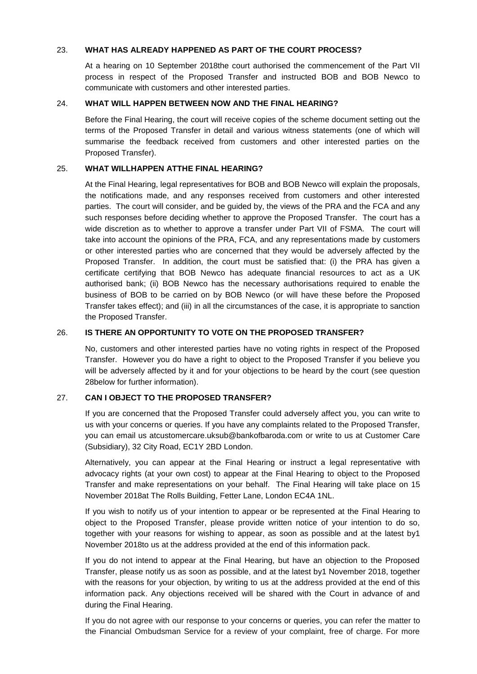### 23. **WHAT HAS ALREADY HAPPENED AS PART OF THE COURT PROCESS?**

At a hearing on 10 September 2018the court authorised the commencement of the Part VII process in respect of the Proposed Transfer and instructed BOB and BOB Newco to communicate with customers and other interested parties.

#### 24. **WHAT WILL HAPPEN BETWEEN NOW AND THE FINAL HEARING?**

Before the Final Hearing, the court will receive copies of the scheme document setting out the terms of the Proposed Transfer in detail and various witness statements (one of which will summarise the feedback received from customers and other interested parties on the Proposed Transfer).

### 25. **WHAT WILLHAPPEN ATTHE FINAL HEARING?**

At the Final Hearing, legal representatives for BOB and BOB Newco will explain the proposals, the notifications made, and any responses received from customers and other interested parties. The court will consider, and be guided by, the views of the PRA and the FCA and any such responses before deciding whether to approve the Proposed Transfer. The court has a wide discretion as to whether to approve a transfer under Part VII of FSMA. The court will take into account the opinions of the PRA, FCA, and any representations made by customers or other interested parties who are concerned that they would be adversely affected by the Proposed Transfer. In addition, the court must be satisfied that: (i) the PRA has given a certificate certifying that BOB Newco has adequate financial resources to act as a UK authorised bank; (ii) BOB Newco has the necessary authorisations required to enable the business of BOB to be carried on by BOB Newco (or will have these before the Proposed Transfer takes effect); and (iii) in all the circumstances of the case, it is appropriate to sanction the Proposed Transfer.

### 26. **IS THERE AN OPPORTUNITY TO VOTE ON THE PROPOSED TRANSFER?**

No, customers and other interested parties have no voting rights in respect of the Proposed Transfer. However you do have a right to object to the Proposed Transfer if you believe you will be adversely affected by it and for your objections to be heard by the court (see question [28b](#page-5-0)elow for further information).

### 27. **CAN I OBJECT TO THE PROPOSED TRANSFER?**

If you are concerned that the Proposed Transfer could adversely affect you, you can write to us with your concerns or queries. If you have any complaints related to the Proposed Transfer, you can email us atcustomercare.uksub@bankofbaroda.com or write to us at Customer Care (Subsidiary), 32 City Road, EC1Y 2BD London.

Alternatively, you can appear at the Final Hearing or instruct a legal representative with advocacy rights (at your own cost) to appear at the Final Hearing to object to the Proposed Transfer and make representations on your behalf. The Final Hearing will take place on 15 November 2018at The Rolls Building, Fetter Lane, London EC4A 1NL.

If you wish to notify us of your intention to appear or be represented at the Final Hearing to object to the Proposed Transfer, please provide written notice of your intention to do so, together with your reasons for wishing to appear, as soon as possible and at the latest by1 November 2018to us at the address provided at the end of this information pack.

If you do not intend to appear at the Final Hearing, but have an objection to the Proposed Transfer, please notify us as soon as possible, and at the latest by1 November 2018, together with the reasons for your objection, by writing to us at the address provided at the end of this information pack. Any objections received will be shared with the Court in advance of and during the Final Hearing.

If you do not agree with our response to your concerns or queries, you can refer the matter to the Financial Ombudsman Service for a review of your complaint, free of charge. For more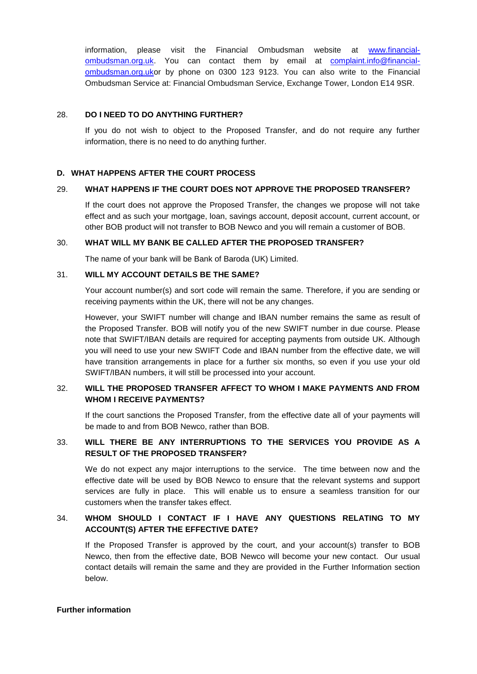information, please visit the Financial Ombudsman website at [www.financial](http://www.financial-ombudsman.org.uk/)[ombudsman.org.uk.](http://www.financial-ombudsman.org.uk/) You can contact them by email at [complaint.info@financial](mailto:complaint.info@financial-ombudsman.org.uk)[ombudsman.org.uko](mailto:complaint.info@financial-ombudsman.org.uk)r by phone on 0300 123 9123. You can also write to the Financial Ombudsman Service at: Financial Ombudsman Service, Exchange Tower, London E14 9SR.

### <span id="page-5-0"></span>28. **DO I NEED TO DO ANYTHING FURTHER?**

If you do not wish to object to the Proposed Transfer, and do not require any further information, there is no need to do anything further.

#### **D. WHAT HAPPENS AFTER THE COURT PROCESS**

#### 29. **WHAT HAPPENS IF THE COURT DOES NOT APPROVE THE PROPOSED TRANSFER?**

If the court does not approve the Proposed Transfer, the changes we propose will not take effect and as such your mortgage, loan, savings account, deposit account, current account, or other BOB product will not transfer to BOB Newco and you will remain a customer of BOB.

#### 30. **WHAT WILL MY BANK BE CALLED AFTER THE PROPOSED TRANSFER?**

The name of your bank will be Bank of Baroda (UK) Limited.

#### 31. **WILL MY ACCOUNT DETAILS BE THE SAME?**

Your account number(s) and sort code will remain the same. Therefore, if you are sending or receiving payments within the UK, there will not be any changes.

However, your SWIFT number will change and IBAN number remains the same as result of the Proposed Transfer. BOB will notify you of the new SWIFT number in due course. Please note that SWIFT/IBAN details are required for accepting payments from outside UK. Although you will need to use your new SWIFT Code and IBAN number from the effective date, we will have transition arrangements in place for a further six months, so even if you use your old SWIFT/IBAN numbers, it will still be processed into your account.

### 32. **WILL THE PROPOSED TRANSFER AFFECT TO WHOM I MAKE PAYMENTS AND FROM WHOM I RECEIVE PAYMENTS?**

If the court sanctions the Proposed Transfer, from the effective date all of your payments will be made to and from BOB Newco, rather than BOB.

# 33. **WILL THERE BE ANY INTERRUPTIONS TO THE SERVICES YOU PROVIDE AS A RESULT OF THE PROPOSED TRANSFER?**

We do not expect any major interruptions to the service. The time between now and the effective date will be used by BOB Newco to ensure that the relevant systems and support services are fully in place. This will enable us to ensure a seamless transition for our customers when the transfer takes effect.

# 34. **WHOM SHOULD I CONTACT IF I HAVE ANY QUESTIONS RELATING TO MY ACCOUNT(S) AFTER THE EFFECTIVE DATE?**

If the Proposed Transfer is approved by the court, and your account(s) transfer to BOB Newco, then from the effective date, BOB Newco will become your new contact. Our usual contact details will remain the same and they are provided in the Further Information section below.

#### **Further information**